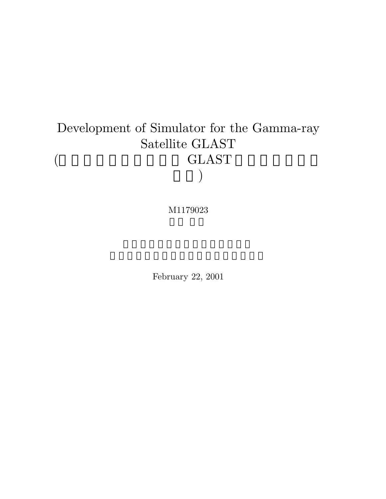# Development of Simulator for the Gamma-ray Satellite GLAST (  $\hspace{1.6cm} \rm GLAST$  $\bigcup$

M1179023

February 22, 2001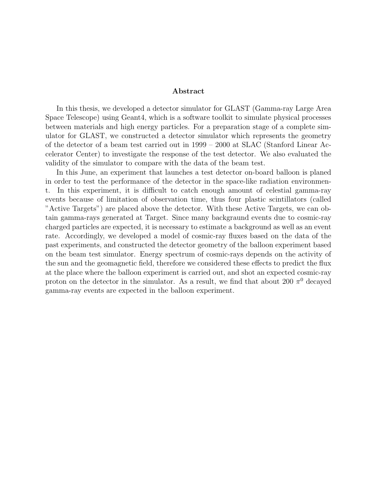#### **Abstract**

In this thesis, we developed a detector simulator for GLAST (Gamma-ray Large Area Space Telescope) using Geant4, which is a software toolkit to simulate physical processes between materials and high energy particles. For a preparation stage of a complete simulator for GLAST, we constructed a detector simulator which represents the geometry of the detector of a beam test carried out in 1999 – 2000 at SLAC (Stanford Linear Accelerator Center) to investigate the response of the test detector. We also evaluated the validity of the simulator to compare with the data of the beam test.

In this June, an experiment that launches a test detector on-board balloon is planed in order to test the performance of the detector in the space-like radiation environment. In this experiment, it is difficult to catch enough amount of celestial gamma-ray events because of limitation of observation time, thus four plastic scintillators (called "Active Targets") are placed above the detector. With these Active Targets, we can obtain gamma-rays generated at Target. Since many backgraund events due to cosmic-ray charged particles are expected, it is necessary to estimate a background as well as an event rate. Accordingly, we developed a model of cosmic-ray fluxes based on the data of the past experiments, and constructed the detector geometry of the balloon experiment based on the beam test simulator. Energy spectrum of cosmic-rays depends on the activity of the sun and the geomagnetic field, therefore we considered these effects to predict the flux at the place where the balloon experiment is carried out, and shot an expected cosmic-ray proton on the detector in the simulator. As a result, we find that about 200  $\pi^0$  decayed gamma-ray events are expected in the balloon experiment.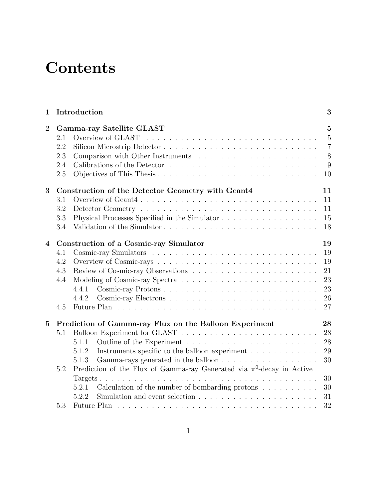# **Contents**

| $\mathbf 1$      | Introduction                           |                                                                                   |                                                                    |  |  |
|------------------|----------------------------------------|-----------------------------------------------------------------------------------|--------------------------------------------------------------------|--|--|
| $\overline{2}$   | 2.1<br>2.2<br>2.3<br>2.4<br>2.5        | Gamma-ray Satellite GLAST<br>Overview of GLAST                                    | $\overline{5}$<br>$\overline{5}$<br>$\overline{7}$<br>8<br>9<br>10 |  |  |
| 3                |                                        | Construction of the Detector Geometry with Geant4                                 | 11                                                                 |  |  |
|                  | 3.1                                    | Overview of Geant4                                                                | 11                                                                 |  |  |
|                  | 3.2                                    |                                                                                   | 11                                                                 |  |  |
|                  | 3.3                                    | Physical Processes Specified in the Simulator                                     | 15                                                                 |  |  |
|                  | 3.4                                    |                                                                                   | 18                                                                 |  |  |
| $\boldsymbol{4}$ | Construction of a Cosmic-ray Simulator |                                                                                   |                                                                    |  |  |
|                  | 4.1                                    |                                                                                   | 19<br>19                                                           |  |  |
|                  | 4.2                                    |                                                                                   | 19                                                                 |  |  |
|                  | 4.3                                    |                                                                                   | 21                                                                 |  |  |
|                  | 4.4                                    |                                                                                   | 23                                                                 |  |  |
|                  |                                        | 4.4.1                                                                             | 23                                                                 |  |  |
|                  |                                        | 4.4.2                                                                             | 26                                                                 |  |  |
|                  | 4.5                                    |                                                                                   | 27                                                                 |  |  |
| $\overline{5}$   |                                        | Prediction of Gamma-ray Flux on the Balloon Experiment                            | 28                                                                 |  |  |
|                  | 5.1                                    |                                                                                   | 28                                                                 |  |  |
|                  |                                        | 5.1.1                                                                             | 28                                                                 |  |  |
|                  |                                        | Instruments specific to the balloon experiment $\dots \dots \dots \dots$<br>5.1.2 | 29                                                                 |  |  |
|                  |                                        | 5.1.3<br>Gamma-rays generated in the balloon                                      | 30                                                                 |  |  |
|                  | 5.2                                    | Prediction of the Flux of Gamma-ray Generated via $\pi^0$ -decay in Active        |                                                                    |  |  |
|                  |                                        |                                                                                   | 30                                                                 |  |  |
|                  |                                        | Calculation of the number of bombarding protons $\ldots \ldots \ldots$<br>5.2.1   | 30                                                                 |  |  |
|                  |                                        | 5.2.2                                                                             | 31                                                                 |  |  |
|                  | 5.3                                    |                                                                                   | 32                                                                 |  |  |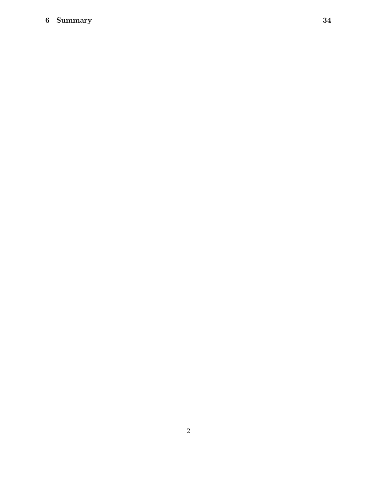### **6 Summary 34**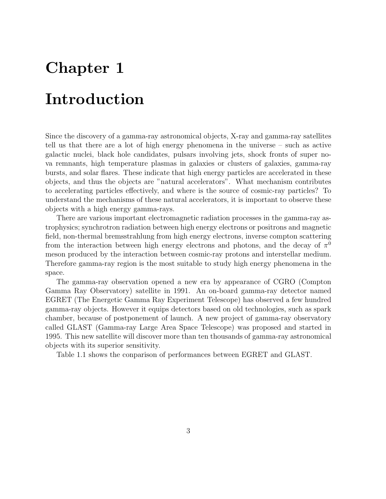## **Chapter 1**

## **Introduction**

Since the discovery of a gamma-ray astronomical objects, X-ray and gamma-ray satellites tell us that there are a lot of high energy phenomena in the universe – such as active galactic nuclei, black hole candidates, pulsars involving jets, shock fronts of super nova remnants, high temperature plasmas in galaxies or clusters of galaxies, gamma-ray bursts, and solar flares. These indicate that high energy particles are accelerated in these objects, and thus the objects are "natural accelerators". What mechanism contributes to accelerating particles effectively, and where is the source of cosmic-ray particles? To understand the mechanisms of these natural accelerators, it is important to observe these objects with a high energy gamma-rays.

There are various important electromagnetic radiation processes in the gamma-ray astrophysics; synchrotron radiation between high energy electrons or positrons and magnetic field, non-thermal bremsstrahlung from high energy electrons, inverse compton scattering from the interaction between high energy electrons and photons, and the decay of  $\pi^0$ meson produced by the interaction between cosmic-ray protons and interstellar medium. Therefore gamma-ray region is the most suitable to study high energy phenomena in the space.

The gamma-ray observation opened a new era by appearance of CGRO (Compton Gamma Ray Observatory) satellite in 1991. An on-board gamma-ray detector named EGRET (The Energetic Gamma Ray Experiment Telescope) has observed a few hundred gamma-ray objects. However it equips detectors based on old technologies, such as spark chamber, because of postponement of launch. A new project of gamma-ray observatory called GLAST (Gamma-ray Large Area Space Telescope) was proposed and started in 1995. This new satellite will discover more than ten thousands of gamma-ray astronomical objects with its superior sensitivity.

Table 1.1 shows the conparison of performances between EGRET and GLAST.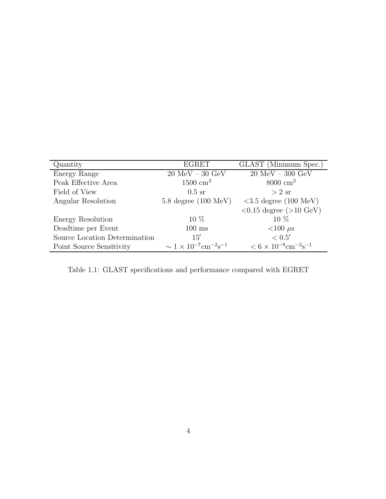| Quantity                      | <b>EGRET</b>                                             | GLAST (Minimum Spec.)                                 |
|-------------------------------|----------------------------------------------------------|-------------------------------------------------------|
| Energy Range                  | $20$ MeV $-$ 30 GeV                                      | $\overline{20}$ MeV - 300 GeV                         |
| Peak Effective Area           | $1500 \text{ cm}^2$                                      | $8000 \text{ cm}^2$                                   |
| Field of View                 | $0.5$ sr                                                 | $>2$ sr                                               |
| Angular Resolution            | $5.8$ degree $(100 \text{ MeV})$                         | $<3.5$ degree (100 MeV)                               |
|                               |                                                          | $< 0.15$ degree ( $> 10$ GeV)                         |
| Energy Resolution             | $10\%$                                                   | $10\%$                                                |
| Deadtime per Event            | $100$ ms                                                 | $<$ 100 $\mu$ s                                       |
| Source Location Determination | 15'                                                      | < 0.5'                                                |
| Point Source Sensitivity      | $\sim 1 \times 10^{-7}$ cm <sup>-2</sup> s <sup>-1</sup> | $< 6 \times 10^{-9}$ cm <sup>-2</sup> s <sup>-1</sup> |

Table 1.1: GLAST specifications and performance compared with EGRET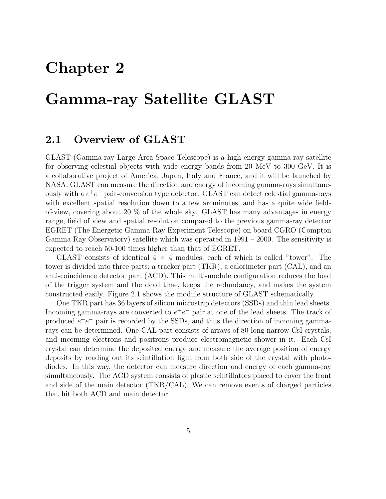## **Chapter 2**

## **Gamma-ray Satellite GLAST**

### **2.1 Overview of GLAST**

GLAST (Gamma-ray Large Area Space Telescope) is a high energy gamma-ray satellite for observing celestial objects with wide energy bands from 20 MeV to 300 GeV. It is a collaborative project of America, Japan, Italy and France, and it will be launched by NASA. GLAST can measure the direction and energy of incoming gamma-rays simultaneously with a  $e^+e^-$  pair-conversion type detector. GLAST can detect celestial gamma-rays with excellent spatial resolution down to a few arcminutes, and has a quite wide fieldof-view, covering about 20 % of the whole sky. GLAST has many advantages in energy range, field of view and spatial resolution compared to the previous gamma-ray detector EGRET (The Energetic Gamma Ray Experiment Telescope) on board CGRO (Compton Gamma Ray Observatory) satellite which was operated in 1991 – 2000. The sensitivity is expected to reach 50-100 times higher than that of EGRET.

GLAST consists of identical  $4 \times 4$  modules, each of which is called "tower". The tower is divided into three parts; a tracker part (TKR), a calorimeter part (CAL), and an anti-coincidence detector part (ACD). This multi-module configuration reduces the load of the trigger system and the dead time, keeps the redundancy, and makes the system constructed easily. Figure 2.1 shows the module structure of GLAST schematically.

One TKR part has 36 layers of silicon microstrip detectors (SSDs) and thin lead sheets. Incoming gamma-rays are converted to  $e^+e^-$  pair at one of the lead sheets. The track of produced  $e^+e^-$  pair is recorded by the SSDs, and thus the direction of incoming gammarays can be determined. One CAL part consists of arrays of 80 long narrow CsI crystals, and incoming electrons and positrons produce electromagnetic shower in it. Each CsI crystal can determine the deposited energy and measure the average position of energy deposits by reading out its scintillation light from both side of the crystal with photodiodes. In this way, the detector can measure direction and energy of each gamma-ray simultaneously. The ACD system consists of plastic scintillators placed to cover the front and side of the main detector (TKR/CAL). We can remove events of charged particles that hit both ACD and main detector.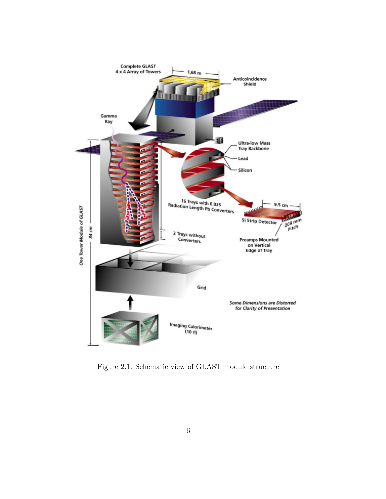

Figure 2.1: Schematic view of GLAST module structure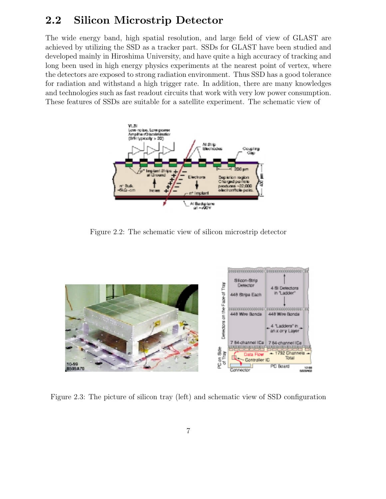### **2.2 Silicon Microstrip Detector**

The wide energy band, high spatial resolution, and large field of view of GLAST are achieved by utilizing the SSD as a tracker part. SSDs for GLAST have been studied and developed mainly in Hiroshima University, and have quite a high accuracy of tracking and long been used in high energy physics experiments at the nearest point of vertex, where the detectors are exposed to strong radiation environment. Thus SSD has a good tolerance for radiation and withstand a high trigger rate. In addition, there are many knowledges and technologies such as fast readout circuits that workwith very low power consumption. These features of SSDs are suitable for a satellite experiment. The schematic view of



Figure 2.2: The schematic view of silicon microstrip detector



Figure 2.3: The picture of silicon tray (left) and schematic view of SSD configuration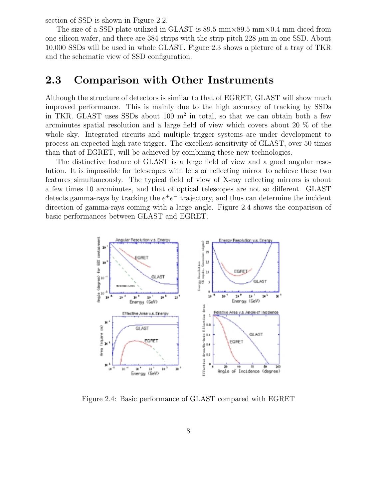section of SSD is shown in Figure 2.2.

The size of a SSD plate utilized in GLAST is 89.5  $\text{mm}\times89.5 \text{ mm}\times0.4 \text{ mm}$  diced from one silicon wafer, and there are 384 strips with the strip pitch 228  $\mu$ m in one SSD. About 10,000 SSDs will be used in whole GLAST. Figure 2.3 shows a picture of a tray of TKR and the schematic view of SSD configuration.

### **2.3 Comparison with Other Instruments**

Although the structure of detectors is similar to that of EGRET, GLAST will show much improved performance. This is mainly due to the high accuracy of tracking by SSDs in TKR. GLAST uses SSDs about 100  $m<sup>2</sup>$  in total, so that we can obtain both a few arcminutes spatial resolution and a large field of view which covers about 20 % of the whole sky. Integrated circuits and multiple trigger systems are under development to process an expected high rate trigger. The excellent sensitivity of GLAST, over 50 times than that of EGRET, will be achieved by combining these new technologies.

The distinctive feature of GLAST is a large field of view and a good angular resolution. It is impossible for telescopes with lens or reflecting mirror to achieve these two features simultaneously. The typical field of view of X-ray reflecting mirrors is about a few times 10 arcminutes, and that of optical telescopes are not so different. GLAST detects gamma-rays by tracking the  $e^+e^-$  trajectory, and thus can determine the incident direction of gamma-rays coming with a large angle. Figure 2.4 shows the conparison of basic performances between GLAST and EGRET.



Figure 2.4: Basic performance of GLAST compared with EGRET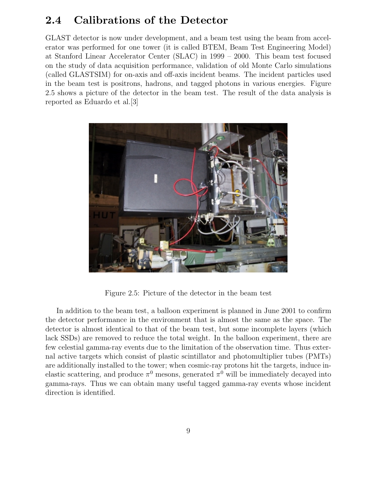### **2.4 Calibrations of the Detector**

GLAST detector is now under development, and a beam test using the beam from accelerator was performed for one tower (it is called BTEM, Beam Test Engineering Model) at Stanford Linear Accelerator Center (SLAC) in 1999 – 2000. This beam test focused on the study of data acquisition performance, validation of old Monte Carlo simulations (called GLASTSIM) for on-axis and off-axis incident beams. The incident particles used in the beam test is positrons, hadrons, and tagged photons in various energies. Figure 2.5 shows a picture of the detector in the beam test. The result of the data analysis is reported as Eduardo et al.[3]



Figure 2.5: Picture of the detector in the beam test

In addition to the beam test, a balloon experiment is planned in June 2001 to confirm the detector performance in the environment that is almost the same as the space. The detector is almost identical to that of the beam test, but some incomplete layers (which lack SSDs) are removed to reduce the total weight. In the balloon experiment, there are few celestial gamma-ray events due to the limitation of the observation time. Thus external active targets which consist of plastic scintillator and photomultiplier tubes (PMTs) are additionally installed to the tower; when cosmic-ray protons hit the targets, induce inelastic scattering, and produce  $\pi^0$  mesons, generated  $\pi^0$  will be immediately decayed into gamma-rays. Thus we can obtain many useful tagged gamma-ray events whose incident direction is identified.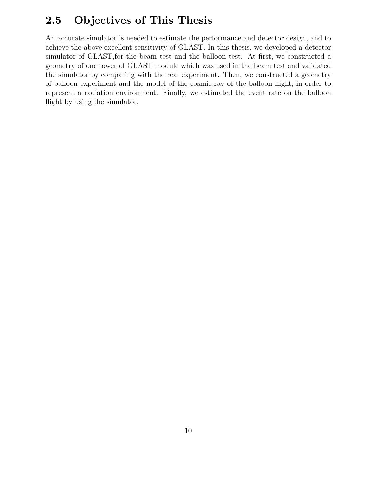### **2.5 Objectives of This Thesis**

An accurate simulator is needed to estimate the performance and detector design, and to achieve the above excellent sensitivity of GLAST. In this thesis, we developed a detector simulator of GLAST,for the beam test and the balloon test. At first, we constructed a geometry of one tower of GLAST module which was used in the beam test and validated the simulator by comparing with the real experiment. Then, we constructed a geometry of balloon experiment and the model of the cosmic-ray of the balloon flight, in order to represent a radiation environment. Finally, we estimated the event rate on the balloon flight by using the simulator.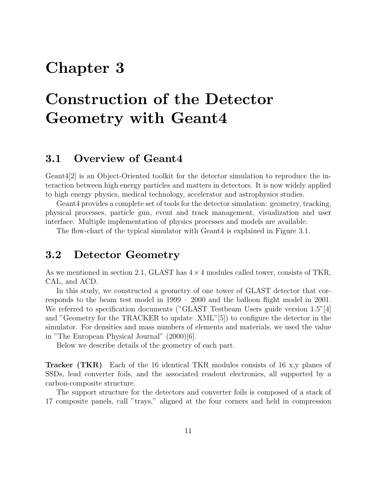## **Chapter 3**

# **Construction of the Detector Geometry with Geant4**

### **3.1 Overview of Geant4**

Geant4[2] is an Object-Oriented toolkit for the detector simulation to reproduce the interaction between high energy particles and matters in detectors. It is now widely applied to high energy physics, medical technology, accelerator and astrophysics studies.

Geant4 provides a complete set of tools for the detector simulation: geometry, tracking, physical processes, particle gun, event and trackmanagement, visualization and user interface. Multiple implementation of physics processes and models are available.

The flow-chart of the typical simulator with Geant4 is explained in Figure 3.1.

### **3.2 Detector Geometry**

As we mentioned in section 2.1, GLAST has  $4 \times 4$  modules called tower, consists of TKR, CAL, and ACD.

In this study, we constructed a geometry of one tower of GLAST detector that corresponds to the beam test model in 1999 – 2000 and the balloon flight model in 2001. We referred to specification documents ("GLAST Testbeam Users guide version 1.5"[4]) and "Geometry for the TRACKER to update .XML"[5]) to configure the detector in the simulator. For densities and mass numbers of elements and materials, we used the value in "The European Physical Journal" (2000)[6].

Below we describe details of the geometry of each part.

**Tracker (TKR)** Each of the 16 identical TKR modules consists of 16 x,y planes of SSDs, lead converter foils, and the associated readout electronics, all supported by a carbon-composite structure.

The support structure for the detectors and converter foils is composed of a stack of 17 composite panels, call "trays," aligned at the four corners and held in compression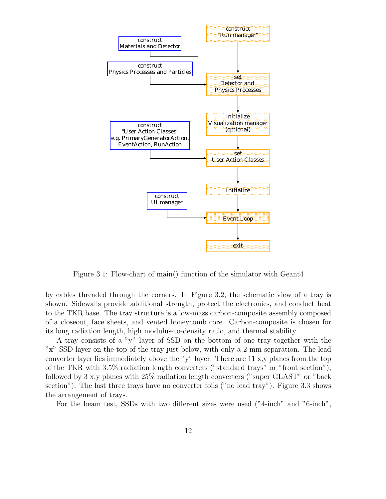

Figure 3.1: Flow-chart of main() function of the simulator with Geant4

by cables threaded through the corners. In Figure 3.2, the schematic view of a tray is shown. Sidewalls provide additional strength, protect the electronics, and conduct heat to the TKR base. The tray structure is a low-mass carbon-composite assembly composed of a closeout, face sheets, and vented honeycomb core. Carbon-composite is chosen for its long radiation length, high modulus-to-density ratio, and thermal stability.

A tray consists of a "y" layer of SSD on the bottom of one tray together with the "x" SSD layer on the top of the tray just below, with only a 2-mm separation. The lead converter layer lies immediately above the "y" layer. There are 11 x,y planes from the top of the TKR with 3.5% radiation length converters ("standard trays" or "front section"), followed by 3 x,y planes with 25% radiation length converters ("super GLAST" or "back section"). The last three trays have no converter foils ("no lead tray"). Figure 3.3 shows the arrangement of trays.

For the beam test, SSDs with two different sizes were used ("4-inch" and "6-inch",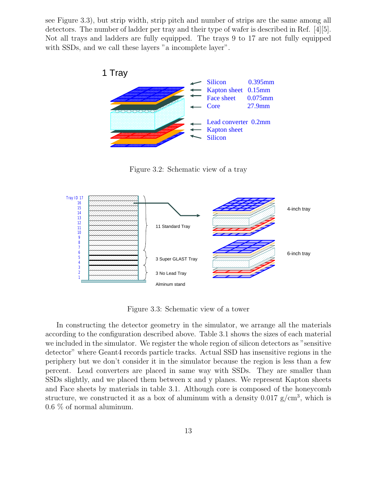see Figure 3.3), but strip width, strip pitch and number of strips are the same among all detectors. The number of ladder per tray and their type of wafer is described in Ref. [4][5]. Not all trays and ladders are fully equipped. The trays 9 to 17 are not fully equipped with SSDs, and we call these layers "a incomplete layer".



Figure 3.2: Schematic view of a tray



Figure 3.3: Schematic view of a tower

In constructing the detector geometry in the simulator, we arrange all the materials according to the configuration described above. Table 3.1 shows the sizes of each material we included in the simulator. We register the whole region of silicon detectors as "sensitive detector" where Geant4 records particle tracks. Actual SSD has insensitive regions in the periphery but we don't consider it in the simulator because the region is less than a few percent. Lead converters are placed in same way with SSDs. They are smaller than SSDs slightly, and we placed them between x and y planes. We represent Kapton sheets and Face sheets by materials in table 3.1. Although core is composed of the honeycomb structure, we constructed it as a box of aluminum with a density  $0.017$  g/cm<sup>3</sup>, which is 0.6 % of normal aluminum.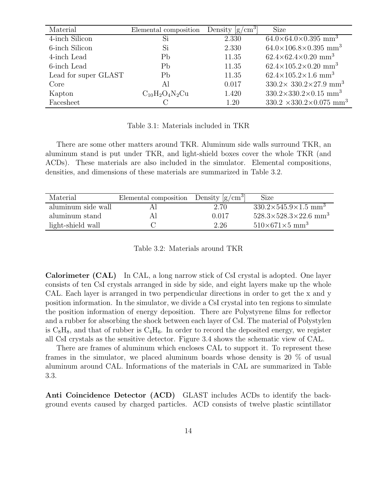| Material             | Elemental composition | Density $\left[\text{g/cm}^3\right]$ | Size                                              |
|----------------------|-----------------------|--------------------------------------|---------------------------------------------------|
| 4-inch Silicon       | Si                    | 2.330                                | $64.0\times64.0\times0.395$ mm <sup>3</sup>       |
| 6-inch Silicon       | Si                    | 2.330                                | $64.0\times106.8\times0.395$ mm <sup>3</sup>      |
| 4-inch Lead          | Pb                    | 11.35                                | $62.4\times62.4\times0.20$ mm <sup>3</sup>        |
| 6-inch Lead          | Pb                    | 11.35                                | $62.4\times105.2\times0.20$ mm <sup>3</sup>       |
| Lead for super GLAST | Pb                    | 11.35                                | $62.4\times105.2\times1.6$ mm <sup>3</sup>        |
| Core                 | Αl                    | 0.017                                | $330.2 \times 330.2 \times 27.9$ mm <sup>3</sup>  |
| Kapton               | $C_{10}H_2O_4N_2Cu$   | 1.420                                | $330.2 \times 330.2 \times 0.15$ mm <sup>3</sup>  |
| Facesheet            |                       | 1.20                                 | $330.2 \times 330.2 \times 0.075$ mm <sup>3</sup> |

#### Table 3.1: Materials included in TKR

There are some other matters around TKR. Aluminum side walls surround TKR, an aluminum stand is put under TKR, and light-shield boxes cover the whole TKR (and ACDs). These materials are also included in the simulator. Elemental compositions, densities, and dimensions of these materials are summarized in Table 3.2.

| Material           | Elemental composition Density $[g/cm^3]$ |       | Size                                         |
|--------------------|------------------------------------------|-------|----------------------------------------------|
| aluminum side wall |                                          | 2.70  | $330.2\times545.9\times1.5$ mm <sup>3</sup>  |
| aluminum stand     |                                          | 0.017 | $528.3\times528.3\times22.6$ mm <sup>3</sup> |
| light-shield wall  |                                          | 2.26  | $510\times671\times5$ mm <sup>3</sup>        |

Table 3.2: Materials around TKR

**Calorimeter (CAL)** In CAL, a long narrow stick of CsI crystal is adopted. One layer consists of ten CsI crystals arranged in side by side, and eight layers make up the whole CAL. Each layer is arranged in two perpendicular directions in order to get the x and y position information. In the simulator, we divide a CsI crystal into ten regions to simulate the position information of energy deposition. There are Polystyrene films for reflector and a rubber for absorbing the shock between each layer of CsI. The material of Polystylen is  $C_8H_8$ , and that of rubber is  $C_4H_6$ . In order to record the deposited energy, we register all CsI crystals as the sensitive detector. Figure 3.4 shows the schematic view of CAL.

There are frames of aluminum which encloses CAL to support it. To represent these frames in the simulator, we placed aluminum boards whose density is 20 % of usual aluminum around CAL. Informations of the materials in CAL are summarized in Table 3.3.

**Anti Coincidence Detector (ACD)** GLAST includes ACDs to identify the background events caused by charged particles. ACD consists of twelve plastic scintillator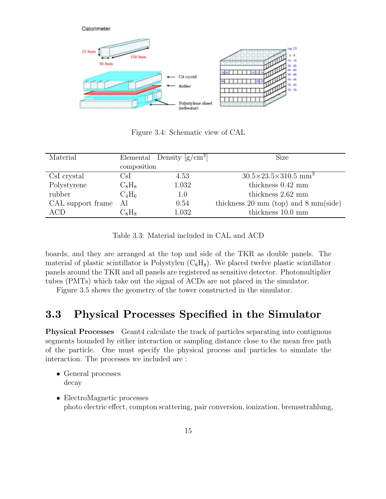

Figure 3.4: Schematic view of CAL

| Material             |               | Elemental Density $\left[\frac{g}{cm^3}\right]$ | <b>Size</b>                                               |
|----------------------|---------------|-------------------------------------------------|-----------------------------------------------------------|
|                      | composition   |                                                 |                                                           |
| CsI crystal          | CsI           | 4.53                                            | $30.5 \times 23.5 \times 310.5$ mm <sup>3</sup>           |
| Polystyrene          | $C_8H_8$      | 1.032                                           | thickness $0.42$ mm                                       |
| rubber               | $C_4H_6$      | 1.0                                             | thickness 2.62 mm                                         |
| CAL support frame Al |               | 0.54                                            | thickness $20 \text{ mm}$ (top) and $8 \text{ mm}$ (side) |
| ACD                  | $\rm{C_8H_8}$ | 1.032                                           | thickness 10.0 mm                                         |

Table 3.3: Material included in CAL and ACD

boards, and they are arranged at the top and side of the TKR as double panels. The material of plastic scintillator is Polystylen  $(C_8H_8)$ . We placed twelve plastic scintillator panels around the TKR and all panels are registered as sensitive detector. Photomultiplier tubes (PMTs) which take out the signal of ACDs are not placed in the simulator.

Figure 3.5 shows the geometry of the tower constructed in the simulator.

### **3.3 Physical Processes Specified in the Simulator**

**Physical Processes** Geant4 calculate the track of particles separating into contiguous segments bounded by either interaction or sampling distance close to the mean free path of the particle. One must specify the physical process and particles to simulate the interaction. The processes we included are :

- General processes decay
- ElectroMagnetic processes photo electric effect, compton scattering, pair conversion, ionization, bremsstrahlung,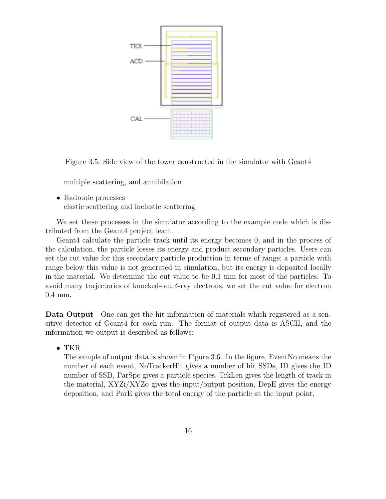

Figure 3.5: Side view of the tower constructed in the simulator with Geant4

multiple scattering, and annihilation

• Hadronic processes elastic scattering and inelastic scattering

We set these processes in the simulator according to the example code which is distributed from the Geant4 project team.

Geant4 calculate the particle track until its energy becomes 0, and in the process of the calculation, the particle losses its energy and product secondary particles. Users can set the cut value for this secondary particle production in terms of range; a particle with range below this value is not generated in simulation, but its energy is deposited locally in the material. We determine the cut value to be 0.1 mm for most of the particles. To avoid many trajectories of knocked-out  $\delta$ -ray electrons, we set the cut value for electron 0.4 mm.

**Data Output** One can get the hit information of materials which registered as a sensitive detector of Geant4 for each run. The format of output data is ASCII, and the information we output is described as follows:

• TKR

The sample of output data is shown in Figure 3.6. In the figure, EventNo means the number of each event, NoTrackerHit gives a number of hit SSDs, ID gives the ID number of SSD, ParSpc gives a particle species, TrkLen gives the length of track in the material, XYZi/XYZo gives the input/output position, DepE gives the energy deposition, and ParE gives the total energy of the particle at the input point.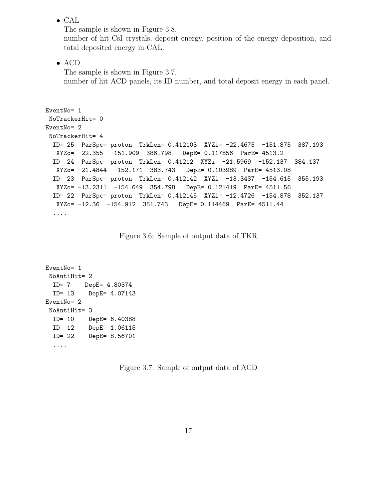• CAL

The sample is shown in Figure 3.8. number of hit CsI crystals, deposit energy, position of the energy deposition, and total deposited energy in CAL.

• ACD

The sample is shown in Figure 3.7. number of hit ACD panels, its ID number, and total deposit energy in each panel.

```
EventNo= 1<br>NoTrackerHit= 0
EventNo= 2NoTrackerHit= 4
  ID = 25 ParSpc= proton TrkLen= 0.412103 XYZi= -22.4675 -151.875
   ID= 25 ParSpc= proton TrkLen= 0.412103 XYZi= -22.4675 -151.875 387.193<br>XYZo= -22.355 -151.909 386.798 DepE= 0.117856 ParE= 4513.2
  ID= 24 ParSpc= proton TrkLen= 0.41212 XYZi= -21.5969 -152.137 384.137
   XYZo= -21.4844 -152.171 383.743 DepE= 0.103989 ParE= 4513.08
  ID= 23 ParSpc= proton TrkLen= 0.412142 XYZi= -13.3437 -154.615
   ID= 23 ParSpc= proton TrkLen= 0.412142 XYZi= -13.3437 -154.615 355.193<br>XYZo= -13.2311 -154.649 354.798 DepE= 0.121419 ParE= 4511.56
  ID= 22    ParSpc= proton TrkLen= 0.412145    XYZi= -12.4726  -154.878
  \frac{1}{1}<br>ID= 22 Parspc= 12.36 -154.012 351.743 DepF= 0.114460 BerF= 4511.44
   xxx -12.36 -12.36 -12.36 -13.36 -154.912 Depe= 0.114469 ParE= 4511.44
  ....
```
Figure 3.6: Sample of output data of TKR

```
EventNo= 1<br>NoAntiHit= 2
 ID = 7 DepE= 4.80374
 ID= 13 DepE= 4.07143
EventNo= 2NoAntiHit= 3
 ID = 10 DepE = 6.40388ID= 12 DepE= 1.06115
 ID= 22 DepE= 8.56701
  \mathbf{I}....
```
Figure 3.7: Sample of output data of ACD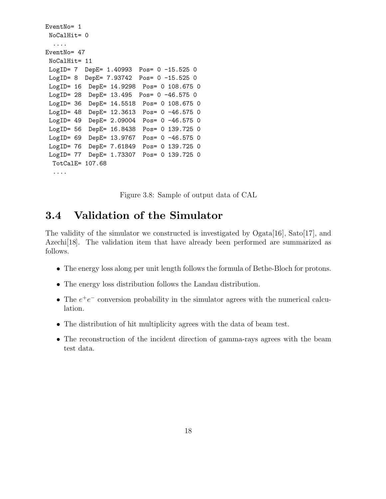```
EventNo= 1<br>NoCalHit= 0
  \ldotsEventNo= 47
 NoCalHit= 11
LogID= 7 DepE= 1.40993 Pos= 0 -15.525 0
LogID= 8 DepE= 7.93742 Pos= 0 -15.525 0
LogID= 16 DepE= 14.9298 Pos= 0 108.675 0
LogID= 28 DepE= 13.495 Pos= 0 -46.575 0
LogID = 36 DepE= 14.5518 Pos= 0 108.675 0LogID= 48 DepE= 12.3613 Pos= 0 -46.575 0
LogID= 49 DepE= 2.09004 Pos= 0 -46.575 0
 LogID= 56 DepE= 16.8438 Pos= 0 139.725 0
 LogID= 69 DepE= 13.9767 Pos= 0 -46.575 0
 LogID= 76 DepE= 7.61849 Pos= 0 139.725 0
 LogID= 77 DepE= 1.73307 Pos= 0 139.725 0
 TotCalE= 107.68
```
Figure 3.8: Sample of output data of CAL

### **3.4 Validation of the Simulator**

The validity of the simulator we constructed is investigated by  $O<sub>g</sub>ata[16]$ ,  $Sat<sub>o</sub>[17]$ , and Azechi[18]. The validation item that have already been performed are summarized as follows.

- The energy loss along per unit length follows the formula of Bethe-Bloch for protons.
- The energy loss distribution follows the Landau distribution.
- The  $e^+e^-$  conversion probability in the simulator agrees with the numerical calculation.
- The distribution of hit multiplicity agrees with the data of beam test.
- The reconstruction of the incident direction of gamma-rays agrees with the beam test data.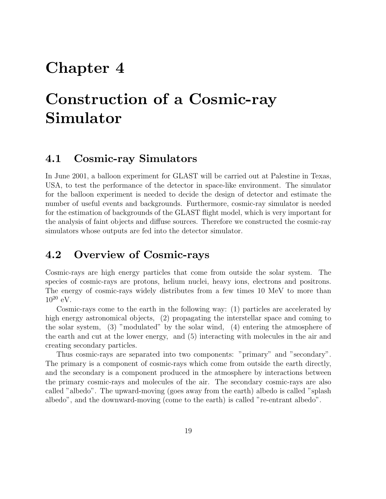## **Chapter 4**

# **Construction of a Cosmic-ray Simulator**

### **4.1 Cosmic-ray Simulators**

In June 2001, a balloon experiment for GLAST will be carried out at Palestine in Texas, USA, to test the performance of the detector in space-like environment. The simulator for the balloon experiment is needed to decide the design of detector and estimate the number of useful events and backgrounds. Furthermore, cosmic-ray simulator is needed for the estimation of backgrounds of the GLAST flight model, which is very important for the analysis of faint objects and diffuse sources. Therefore we constructed the cosmic-ray simulators whose outputs are fed into the detector simulator.

### **4.2 Overview of Cosmic-rays**

Cosmic-rays are high energy particles that come from outside the solar system. The species of cosmic-rays are protons, helium nuclei, heavy ions, electrons and positrons. The energy of cosmic-rays widely distributes from a few times 10 MeV to more than  $10^{20}$  eV.

Cosmic-rays come to the earth in the following way: (1) particles are accelerated by high energy astronomical objects, (2) propagating the interstellar space and coming to the solar system, (3) "modulated" by the solar wind, (4) entering the atmosphere of the earth and cut at the lower energy, and (5) interacting with molecules in the air and creating secondary particles.

Thus cosmic-rays are separated into two components: "primary" and "secondary". The primary is a component of cosmic-rays which come from outside the earth directly, and the secondary is a component produced in the atmosphere by interactions between the primary cosmic-rays and molecules of the air. The secondary cosmic-rays are also called "albedo". The upward-moving (goes away from the earth) albedo is called "splash albedo", and the downward-moving (come to the earth) is called "re-entrant albedo".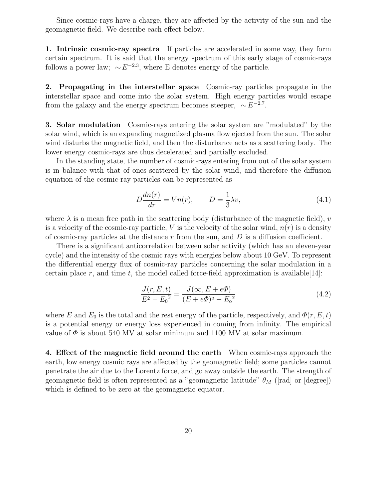Since cosmic-rays have a charge, they are affected by the activity of the sun and the geomagnetic field. We describe each effect below.

**1. Intrinsic cosmic-ray spectra** If particles are accelerated in some way, they form certain spectrum. It is said that the energy spectrum of this early stage of cosmic-rays follows a power law;  $\sim E^{-2.3}$ , where E denotes energy of the particle.

**2. Propagating in the interstellar space** Cosmic-ray particles propagate in the interstellar space and come into the solar system. High energy particles would escape from the galaxy and the energy spectrum becomes steeper,  $\sim E^{-2.7}$ .

**3. Solar modulation** Cosmic-rays entering the solar system are "modulated" by the solar wind, which is an expanding magnetized plasma flow ejected from the sun. The solar wind disturbs the magnetic field, and then the disturbance acts as a scattering body. The lower energy cosmic-rays are thus decelerated and partially excluded.

In the standing state, the number of cosmic-rays entering from out of the solar system is in balance with that of ones scattered by the solar wind, and therefore the diffusion equation of the cosmic-ray particles can be represented as

$$
D\frac{dn(r)}{dr} = Vn(r), \qquad D = \frac{1}{3}\lambda v,
$$
\n(4.1)

where  $\lambda$  is a mean free path in the scattering body (disturbance of the magnetic field), v is a velocity of the cosmic-ray particle, V is the velocity of the solar wind,  $n(r)$  is a density of cosmic-ray particles at the distance  $r$  from the sun, and  $D$  is a diffusion coefficient.

There is a significant anticorrelation between solar activity (which has an eleven-year cycle) and the intensity of the cosmic rays with energies below about 10 GeV. To represent the differential energy flux of cosmic-ray particles concerning the solar modulation in a certain place r, and time t, the model called force-field approximation is available [14]:

$$
\frac{J(r, E, t)}{E^2 - E_0^2} = \frac{J(\infty, E + e\Phi)}{(E + e\Phi)^2 - E_0^2}
$$
\n(4.2)

where E and  $E_0$  is the total and the rest energy of the particle, respectively, and  $\Phi(r, E, t)$ is a potential energy or energy loss experienced in coming from infinity. The empirical value of  $\Phi$  is about 540 MV at solar minimum and 1100 MV at solar maximum.

**4. Effect of the magnetic field around the earth** When cosmic-rays approach the earth, low energy cosmic rays are affected by the geomagnetic field; some particles cannot penetrate the air due to the Lorentz force, and go away outside the earth. The strength of geomagnetic field is often represented as a "geomagnetic latitude"  $\theta_M$  ([rad] or [degree]) which is defined to be zero at the geomagnetic equator.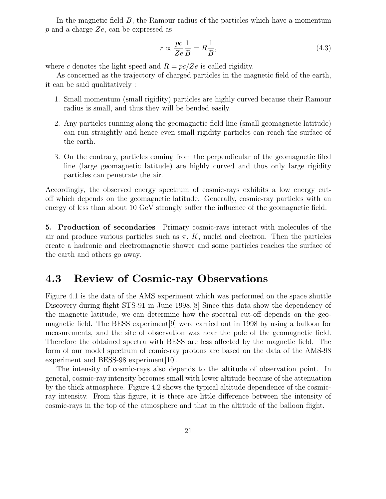In the magnetic field  $B$ , the Ramour radius of the particles which have a momentum  $p$  and a charge  $Ze$ , can be expressed as

$$
r \propto \frac{pc}{Ze} \frac{1}{B} = R \frac{1}{B},\tag{4.3}
$$

where c denotes the light speed and  $R = pc/Ze$  is called rigidity.

As concerned as the trajectory of charged particles in the magnetic field of the earth, it can be said qualitatively :

- 1. Small momentum (small rigidity) particles are highly curved because their Ramour radius is small, and thus they will be bended easily.
- 2. Any particles running along the geomagnetic field line (small geomagnetic latitude) can run straightly and hence even small rigidity particles can reach the surface of the earth.
- 3. On the contrary, particles coming from the perpendicular of the geomagnetic filed line (large geomagnetic latitude) are highly curved and thus only large rigidity particles can penetrate the air.

Accordingly, the observed energy spectrum of cosmic-rays exhibits a low energy cutoff which depends on the geomagnetic latitude. Generally, cosmic-ray particles with an energy of less than about 10 GeV strongly suffer the influence of the geomagnetic field.

**5. Production of secondaries** Primary cosmic-rays interact with molecules of the air and produce various particles such as  $\pi$ , K, nuclei and electron. Then the particles create a hadronic and electromagnetic shower and some particles reaches the surface of the earth and others go away.

### **4.3 Review of Cosmic-ray Observations**

Figure 4.1 is the data of the AMS experiment which was performed on the space shuttle Discovery during flight STS-91 in June 1998.[8] Since this data show the dependency of the magnetic latitude, we can determine how the spectral cut-off depends on the geomagnetic field. The BESS experiment[9] were carried out in 1998 by using a balloon for measurements, and the site of observation was near the pole of the geomagnetic field. Therefore the obtained spectra with BESS are less affected by the magnetic field. The form of our model spectrum of comic-ray protons are based on the data of the AMS-98 experiment and BESS-98 experiment[10].

The intensity of cosmic-rays also depends to the altitude of observation point. In general, cosmic-ray intensity becomes small with lower altitude because of the attenuation by the thick atmosphere. Figure 4.2 shows the typical altitude dependence of the cosmicray intensity. From this figure, it is there are little difference between the intensity of cosmic-rays in the top of the atmosphere and that in the altitude of the balloon flight.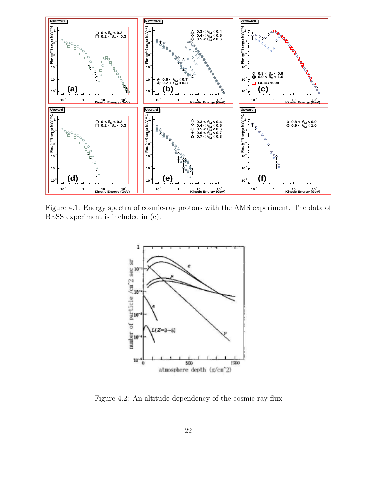

Figure 4.1: Energy spectra of cosmic-ray protons with the AMS experiment. The data of BESS experiment is included in (c).



Figure 4.2: An altitude dependency of the cosmic-ray flux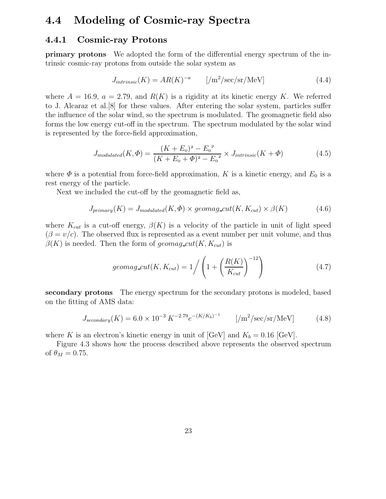### **4.4 Modeling of Cosmic-ray Spectra**

#### **4.4.1 Cosmic-ray Protons**

**primary protons** We adopted the form of the differential energy spectrum of the intrinsic cosmic-ray protons from outside the solar system as

$$
J_{intrinsic}(K) = AR(K)^{-a} \qquad \left[ / \text{m}^2/\text{sec/sr}/\text{MeV} \right] \tag{4.4}
$$

where  $A = 16.9$ ,  $a = 2.79$ , and  $R(K)$  is a rigidity at its kinetic energy K. We referred to J. Alcaraz et al.[8] for these values. After entering the solar system, particles suffer the influence of the solar wind, so the spectrum is modulated. The geomagnetic field also forms the low energy cut-off in the spectrum. The spectrum modulated by the solar wind is represented by the force-field approximation,

$$
J_{modulated}(K, \Phi) = \frac{(K + E_0)^2 - E_0^2}{(K + E_0 + \Phi)^2 - E_0^2} \times J_{intrinsic}(K + \Phi)
$$
(4.5)

where  $\Phi$  is a potential from force-field approximation, K is a kinetic energy, and  $E_0$  is a rest energy of the particle.

Next we included the cut-off by the geomagnetic field as,

$$
J_{primary}(K) = J_{modulated}(K, \Phi) \times geomag\_cut(K, K_{cut}) \times \beta(K)
$$
\n(4.6)

where  $K_{cut}$  is a cut-off energy,  $\beta(K)$  is a velocity of the particle in unit of light speed  $(\beta = v/c)$ . The observed flux is represented as a event number per unit volume, and thus  $\beta(K)$  is needed. Then the form of geomag cut(K,  $K_{cut}$ ) is

$$
geomag\_cut(K, K_{cut}) = 1/ \left( 1 + \left( \frac{R(K)}{K_{cut}} \right)^{-12} \right)
$$
 (4.7)

**secondary protons** The energy spectrum for the secondary protons is modeled, based on the fitting of AMS data:

$$
J_{secondary}(K) = 6.0 \times 10^{-3} K^{-2.79} e^{-(K/K_b)^{-1}} \qquad [\text{/m}^2/\text{sec/sr/MeV}] \tag{4.8}
$$

where K is an electron's kinetic energy in unit of  $[GeV]$  and  $K_b = 0.16$   $[GeV]$ .

Figure 4.3 shows how the process described above represents the observed spectrum of  $\theta_M = 0.75$ .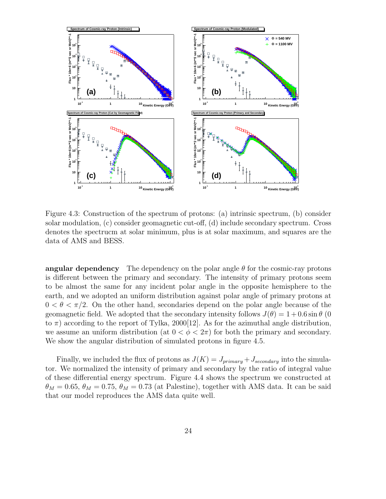

Figure 4.3: Construction of the spectrum of protons: (a) intrinsic spectrum, (b) consider solar modulation, (c) consider geomagnetic cut-off, (d) include secondary spectrum. Cross denotes the spectrucm at solar minimum, plus is at solar maximum, and squares are the data of AMS and BESS.

**angular dependency** The dependency on the polar angle  $\theta$  for the cosmic-ray protons is different between the primary and secondary. The intensity of primary protons seem to be almost the same for any incident polar angle in the opposite hemisphere to the earth, and we adopted an uniform distribution against polar angle of primary protons at  $0 < \theta < \pi/2$ . On the other hand, secondaries depend on the polar angle because of the geomagnetic field. We adopted that the secondary intensity follows  $J(\theta) = 1 + 0.6 \sin \theta$  (0) to  $\pi$ ) according to the report of Tylka, 2000[12]. As for the azimuthal angle distribution, we assume an uniform distribution (at  $0 < \phi < 2\pi$ ) for both the primary and secondary. We show the angular distribution of simulated protons in figure 4.5.

Finally, we included the flux of protons as  $J(K) = J_{primary} + J_{secondary}$  into the simulator. We normalized the intensity of primary and secondary by the ratio of integral value of these differential energy spectrum. Figure 4.4 shows the spectrum we constructed at  $\theta_M = 0.65$ ,  $\theta_M = 0.75$ ,  $\theta_M = 0.73$  (at Palestine), together with AMS data. It can be said that our model reproduces the AMS data quite well.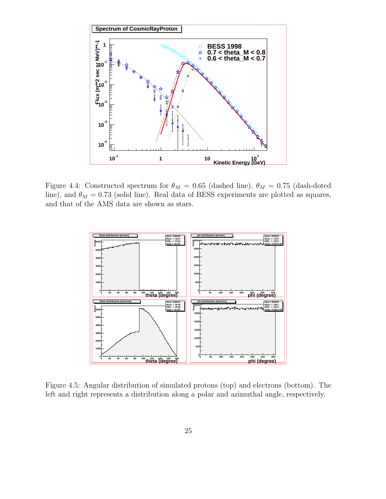

Figure 4.4: Constructed spectrum for  $\theta_M = 0.65$  (dashed line),  $\theta_M = 0.75$  (dash-doted line), and  $\theta_M = 0.73$  (solid line). Real data of BESS experiments are plotted as squares, and that of the AMS data are shown as stars.



Figure 4.5: Angular distribution of simulated protons (top) and electrons (bottom). The left and right represents a distribution along a polar and azimuthal angle, respectively.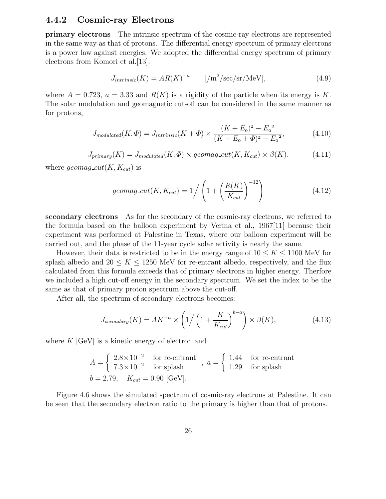#### **4.4.2 Cosmic-ray Electrons**

**primary electrons** The intrinsic spectrum of the cosmic-ray electrons are represented in the same way as that of protons. The differential energy spectrum of primary electrons is a power law against energies. We adopted the differential energy spectrum of primary electrons from Komori et al.[13]:

$$
J_{intrinsic}(K) = AR(K)^{-a} \qquad [\text{/m}^2/\text{sec/sr/MeV}], \qquad (4.9)
$$

where  $A = 0.723$ ,  $a = 3.33$  and  $R(K)$  is a rigidity of the particle when its energy is K. The solar modulation and geomagnetic cut-off can be considered in the same manner as for protons,

$$
J_{modulated}(K,\Phi) = J_{intrinsic}(K+\Phi) \times \frac{(K+E_0)^2 - E_0^2}{(K+E_0+\Phi)^2 - E_0^2},
$$
\n(4.10)

$$
J_{primary}(K) = J_{modulated}(K, \Phi) \times geomag\_cut(K, K_{cut}) \times \beta(K), \qquad (4.11)
$$

where geomag\_cut(K,  $K_{cut}$ ) is

$$
geomag\_cut(K, K_{cut}) = 1/ \left( 1 + \left( \frac{R(K)}{K_{cut}} \right)^{-12} \right)
$$
 (4.12)

**secondary electrons** As for the secondary of the cosmic-ray electrons, we referred to the formula based on the balloon experiment by Verma et al., 1967[11] because their experiment was performed at Palestine in Texas, where our balloon experiment will be carried out, and the phase of the 11-year cycle solar activity is nearly the same.

However, their data is restricted to be in the energy range of  $10 \leq K \leq 1100$  MeV for splash albedo and  $20 \leq K \leq 1250$  MeV for re-entrant albedo, respectively, and the flux calculated from this formula exceeds that of primary electrons in higher energy. Therfore we included a high cut-off energy in the secondary spectrum. We set the index to be the same as that of primary proton spectrum above the cut-off.

After all, the spectrum of secondary electrons becomes:

$$
J_{secondary}(K) = AK^{-a} \times \left(1/\left(1 + \frac{K}{K_{cut}}\right)^{b-a}\right) \times \beta(K),\tag{4.13}
$$

where  $K$  [GeV] is a kinetic energy of electron and

$$
A = \begin{cases} 2.8 \times 10^{-2} & \text{for re-entrant} \\ 7.3 \times 10^{-2} & \text{for splash} \end{cases}, a = \begin{cases} 1.44 & \text{for re-entrant} \\ 1.29 & \text{for splash} \end{cases}
$$
\n
$$
b = 2.79, \quad K_{cut} = 0.90 \text{ [GeV]}.
$$

Figure 4.6 shows the simulated spectrum of cosmic-ray electrons at Palestine. It can be seen that the secondary electron ratio to the primary is higher than that of protons.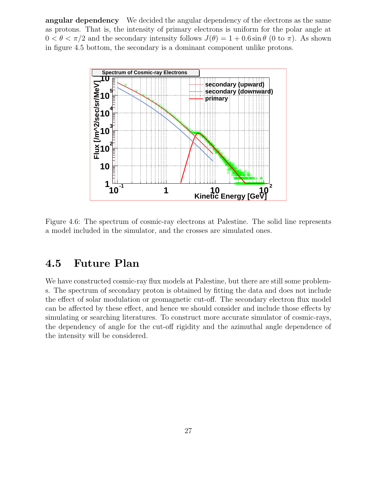**angular dependency** We decided the angular dependency of the electrons as the same as protons. That is, the intensity of primary electrons is uniform for the polar angle at  $0 < \theta < \pi/2$  and the secondary intensity follows  $J(\theta) = 1 + 0.6 \sin \theta$  (0 to  $\pi$ ). As shown in figure 4.5 bottom, the secondary is a dominant component unlike protons.



Figure 4.6: The spectrum of cosmic-ray electrons at Palestine. The solid line represents a model included in the simulator, and the crosses are simulated ones.

### **4.5 Future Plan**

We have constructed cosmic-ray flux models at Palestine, but there are still some problems. The spectrum of secondary proton is obtained by fitting the data and does not include the effect of solar modulation or geomagnetic cut-off. The secondary electron flux model can be affected by these effect, and hence we should consider and include those effects by simulating or searching literatures. To construct more accurate simulator of cosmic-rays, the dependency of angle for the cut-off rigidity and the azimuthal angle dependence of the intensity will be considered.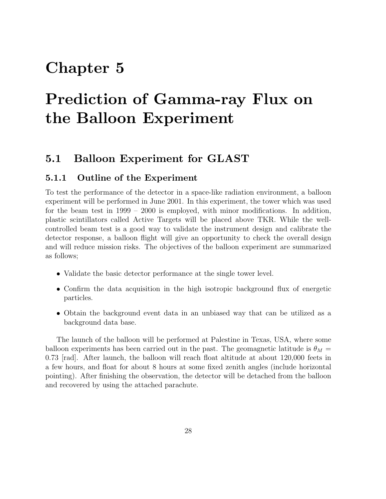### **Chapter 5**

# **Prediction of Gamma-ray Flux on the Balloon Experiment**

### **5.1 Balloon Experiment for GLAST**

#### **5.1.1 Outline of the Experiment**

To test the performance of the detector in a space-like radiation environment, a balloon experiment will be performed in June 2001. In this experiment, the tower which was used for the beam test in 1999 – 2000 is employed, with minor modifications. In addition, plastic scintillators called Active Targets will be placed above TKR. While the wellcontrolled beam test is a good way to validate the instrument design and calibrate the detector response, a balloon flight will give an opportunity to check the overall design and will reduce mission risks. The objectives of the balloon experiment are summarized as follows;

- Validate the basic detector performance at the single tower level.
- Confirm the data acquisition in the high isotropic background flux of energetic particles.
- Obtain the background event data in an unbiased way that can be utilized as a background data base.

The launch of the balloon will be performed at Palestine in Texas, USA, where some balloon experiments has been carried out in the past. The geomagnetic latitude is  $\theta_M$  = 0.73 [rad]. After launch, the balloon will reach float altitude at about 120,000 feets in a few hours, and float for about 8 hours at some fixed zenith angles (include horizontal pointing). After finishing the observation, the detector will be detached from the balloon and recovered by using the attached parachute.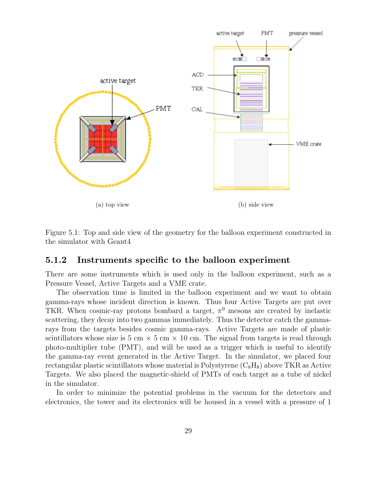

Figure 5.1: Top and side view of the geometry for the balloon experiment constructed in the simulator with Geant4

#### **5.1.2 Instruments specific to the balloon experiment**

There are some instruments which is used only in the balloon experiment, such as a Pressure Vessel, Active Targets and a VME crate.

The observation time is limited in the balloon experiment and we want to obtain gamma-rays whose incident direction is known. Thus four Active Targets are put over TKR. When cosmic-ray protons bombard a target,  $\pi^0$  mesons are created by inelastic scattering, they decay into two gammas immediately. Thus the detector catch the gammarays from the targets besides cosmic gamma-rays. Active Targets are made of plastic scintillators whose size is 5 cm  $\times$  5 cm  $\times$  10 cm. The signal from targets is read through photo-multiplier tube (PMT), and will be used as a trigger which is useful to identify the gamma-ray event generated in the Active Target. In the simulator, we placed four rectangular plastic scintillators whose material is Polystyrene  $(C_8H_8)$  above TKR as Active Targets. We also placed the magnetic-shield of PMTs of each target as a tube of nickel in the simulator.

In order to minimize the potential problems in the vacuum for the detectors and electronics, the tower and its electronics will be housed in a vessel with a pressure of 1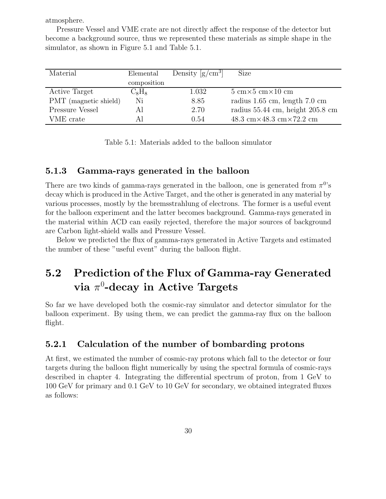atmosphere.

Pressure Vessel and VME crate are not directly affect the response of the detector but become a background source, thus we represented these materials as simple shape in the simulator, as shown in Figure 5.1 and Table 5.1.

| Material              | Elemental   | Density $\left[\text{g/cm}^3\right]$ | Size                                                            |
|-----------------------|-------------|--------------------------------------|-----------------------------------------------------------------|
|                       | composition |                                      |                                                                 |
| Active Target         | $C_8H_8$    | 1.032                                | $5 \text{ cm} \times 5 \text{ cm} \times 10 \text{ cm}$         |
| PMT (magnetic shield) | Ni          | 8.85                                 | radius 1.65 cm, length 7.0 cm                                   |
| Pressure Vessel       | Al          | 2.70                                 | radius 55.44 cm, height 205.8 cm                                |
| VME crate             | Αl          | 0.54                                 | $48.3 \text{ cm} \times 48.3 \text{ cm} \times 72.2 \text{ cm}$ |

Table 5.1: Materials added to the balloon simulator

#### **5.1.3 Gamma-rays generated in the balloon**

There are two kinds of gamma-rays generated in the balloon, one is generated from  $\pi^{0}$ 's decay which is produced in the Active Target, and the other is generated in any material by various processes, mostly by the bremsstrahlung of electrons. The former is a useful event for the balloon experiment and the latter becomes background. Gamma-rays generated in the material within ACD can easily rejected, therefore the major sources of background are Carbon light-shield walls and Pressure Vessel.

Below we predicted the flux of gamma-rays generated in Active Targets and estimated the number of these "useful event" during the balloon flight.

### **5.2 Prediction of the Flux of Gamma-ray Generated**  $\mathbf{via}\ \pi^0\text{-}\mathbf{decay}\ \text{in}\ \mathbf{Active}\ \mathbf{Targets}$

So far we have developed both the cosmic-ray simulator and detector simulator for the balloon experiment. By using them, we can predict the gamma-ray flux on the balloon flight.

#### **5.2.1 Calculation of the number of bombarding protons**

At first, we estimated the number of cosmic-ray protons which fall to the detector or four targets during the balloon flight numerically by using the spectral formula of cosmic-rays described in chapter 4. Integrating the differential spectrum of proton, from 1 GeV to 100 GeV for primary and 0.1 GeV to 10 GeV for secondary, we obtained integrated fluxes as follows: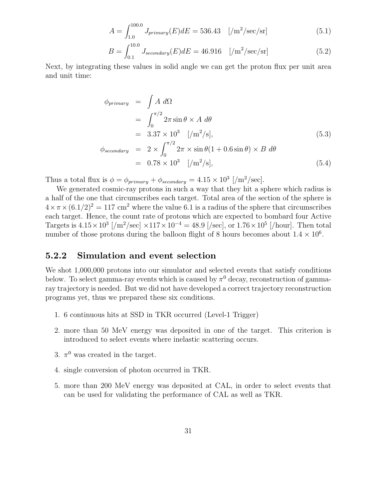$$
A = \int_{1.0}^{100.0} J_{primary}(E) dE = 536.43 \quad [\text{/m}^2/\text{sec/sr}] \tag{5.1}
$$

$$
B = \int_{0.1}^{10.0} J_{secondary}(E) dE = 46.916 \quad [\text{/m}^2/\text{sec/sr}] \tag{5.2}
$$

Next, by integrating these values in solid angle we can get the proton flux per unit area and unit time:

$$
\phi_{primary} = \int A \, d\Omega
$$
\n
$$
= \int_0^{\pi/2} 2\pi \sin \theta \times A \, d\theta
$$
\n
$$
= 3.37 \times 10^3 \quad [\text{/m}^2/\text{s}],
$$
\n
$$
\phi_{secondary} = 2 \times \int_0^{\pi/2} 2\pi \times \sin \theta (1 + 0.6 \sin \theta) \times B \, d\theta
$$
\n
$$
= 0.78 \times 10^3 \quad [\text{/m}^2/\text{s}],
$$
\n(5.4)

Thus a total flux is  $\phi = \phi_{primary} + \phi_{secondary} = 4.15 \times 10^3$  [/m<sup>2</sup>/sec].

We generated cosmic-ray protons in such a way that they hit a sphere which radius is a half of the one that circumscribes each target. Total area of the section of the sphere is  $4 \times \pi \times (6.1/2)^2 = 117$  cm<sup>2</sup> where the value 6.1 is a radius of the sphere that circumscribes each target. Hence, the count rate of protons which are expected to bombard four Active Targets is  $4.15 \times 10^3$  [/m<sup>2</sup>/sec]  $\times 117 \times 10^{-4} = 48.9$  [/sec], or  $1.76 \times 10^5$  [/hour]. Then total number of those protons during the balloon flight of 8 hours becomes about  $1.4 \times 10^6$ .

#### **5.2.2 Simulation and event selection**

We shot  $1,000,000$  protons into our simulator and selected events that satisfy conditions below. To select gamma-ray events which is caused by  $\pi^0$  decay, reconstruction of gammaray trajectory is needed. But we did not have developed a correct trajectory reconstruction programs yet, thus we prepared these six conditions.

- 1. 6 continuous hits at SSD in TKR occurred (Level-1 Trigger)
- 2. more than 50 MeV energy was deposited in one of the target. This criterion is introduced to select events where inelastic scattering occurs.
- 3.  $\pi^0$  was created in the target.
- 4. single conversion of photon occurred in TKR.
- 5. more than 200 MeV energy was deposited at CAL, in order to select events that can be used for validating the performance of CAL as well as TKR.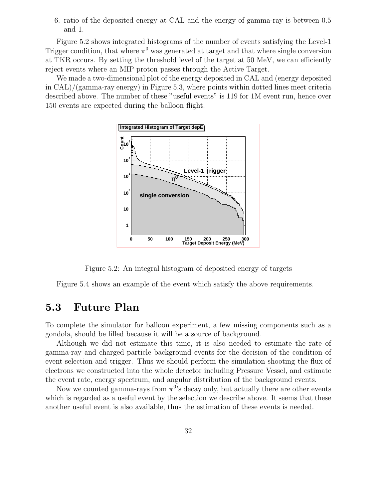6. ratio of the deposited energy at CAL and the energy of gamma-ray is between 0.5 and 1.

Figure 5.2 shows integrated histograms of the number of events satisfying the Level-1 Trigger condition, that where  $\pi^0$  was generated at target and that where single conversion at TKR occurs. By setting the threshold level of the target at 50 MeV, we can efficiently reject events where an MIP proton passes through the Active Target.

We made a two-dimensional plot of the energy deposited in CAL and (energy deposited in CAL)/(gamma-ray energy) in Figure 5.3, where points within dotted lines meet criteria described above. The number of these "useful events" is 119 for 1M event run, hence over 150 events are expected during the balloon flight.



Figure 5.2: An integral histogram of deposited energy of targets

Figure 5.4 shows an example of the event which satisfy the above requirements.

### **5.3 Future Plan**

To complete the simulator for balloon experiment, a few missing components such as a gondola, should be filled because it will be a source of background.

Although we did not estimate this time, it is also needed to estimate the rate of gamma-ray and charged particle background events for the decision of the condition of event selection and trigger. Thus we should perform the simulation shooting the flux of electrons we constructed into the whole detector including Pressure Vessel, and estimate the event rate, energy spectrum, and angular distribution of the background events.

Now we counted gamma-rays from  $\pi^{0}$ 's decay only, but actually there are other events which is regarded as a useful event by the selection we describe above. It seems that these another useful event is also available, thus the estimation of these events is needed.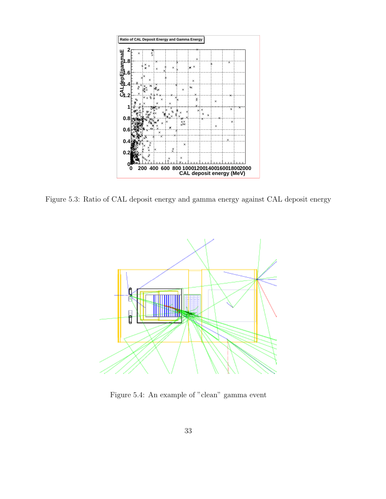

Figure 5.3: Ratio of CAL deposit energy and gamma energy against CAL deposit energy



Figure 5.4: An example of "clean" gamma event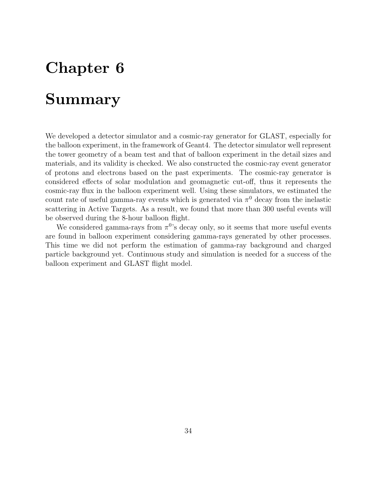## **Chapter 6**

## **Summary**

We developed a detector simulator and a cosmic-ray generator for GLAST, especially for the balloon experiment, in the framework of Geant4. The detector simulator well represent the tower geometry of a beam test and that of balloon experiment in the detail sizes and materials, and its validity is checked. We also constructed the cosmic-ray event generator of protons and electrons based on the past experiments. The cosmic-ray generator is considered effects of solar modulation and geomagnetic cut-off, thus it represents the cosmic-ray flux in the balloon experiment well. Using these simulators, we estimated the count rate of useful gamma-ray events which is generated via  $\pi^0$  decay from the inelastic scattering in Active Targets. As a result, we found that more than 300 useful events will be observed during the 8-hour balloon flight.

We considered gamma-rays from  $\pi^{0}$ 's decay only, so it seems that more useful events are found in balloon experiment considering gamma-rays generated by other processes. This time we did not perform the estimation of gamma-ray background and charged particle background yet. Continuous study and simulation is needed for a success of the balloon experiment and GLAST flight model.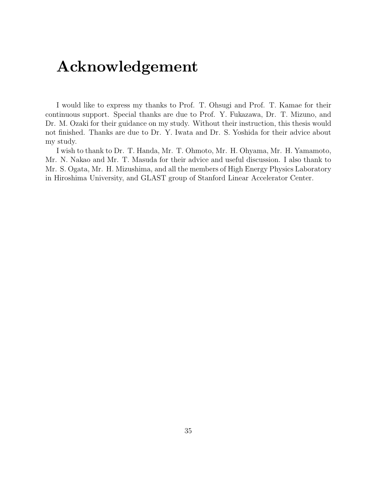## **Acknowledgement**

I would like to express my thanks to Prof. T. Ohsugi and Prof. T. Kamae for their continuous support. Special thanks are due to Prof. Y. Fukazawa, Dr. T. Mizuno, and Dr. M. Ozaki for their guidance on my study. Without their instruction, this thesis would not finished. Thanks are due to Dr. Y. Iwata and Dr. S. Yoshida for their advice about my study.

I wish to thankto Dr. T. Handa, Mr. T. Ohmoto, Mr. H. Ohyama, Mr. H. Yamamoto, Mr. N. Nakao and Mr. T. Masuda for their advice and useful discussion. I also thank to Mr. S. Ogata, Mr. H. Mizushima, and all the members of High Energy Physics Laboratory in Hiroshima University, and GLAST group of Stanford Linear Accelerator Center.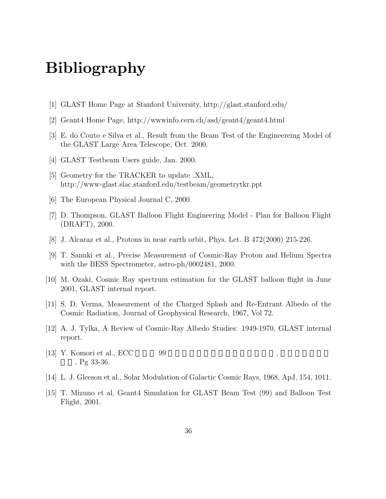## **Bibliography**

- [1] GLAST Home Page at Stanford University, http://glast.stanford.edu/
- [2] Geant4 Home Page, http://wwwinfo.cern.ch/asd/geant4/geant4.html
- [3] E. do Couto e Silva et al., Result from the Beam Test of the Engineereing Model of the GLAST Large Area Telescope, Oct. 2000.
- [4] GLAST Testbeam Users guide, Jan. 2000.
- [5] Geometry for the TRACKER to update .XML, http://www-glast.slac.stanford.edu/testbeam/geometrytkr.ppt
- [6] The European Physical Journal C, 2000.
- [7] D. Thompson, GLAST Balloon Flight Engineering Model Plan for Balloon Flight (DRAFT), 2000.
- [8] J. Alcaraz et al., Protons in near earth orbit, Phys. Let. B 472(2000) 215-226.
- [9] T. Sanuki et al., Precise Measurement of Cosmic-Ray Proton and Helium Spectra with the BESS Spectrometer, astro-ph/0002481, 2000.
- [10] M. Ozaki, Cosmic Ray spectrum estimation for the GLAST balloon flight in June 2001, GLAST internal report.
- [11] S. D. Verma, Measurement of the Charged Splash and Re-Entrant Albedo of the Cosmic Radiation, Journal of Geophysical Research, 1967, Vol 72.
- [12] A. J. Tylka, A Review of Cosmic-Ray Albedo Studies: 1949-1970, GLAST internal report.
- [13] Y. Komori et al.,  $ECC = 99$  $Pg 33-36.$
- [14] L. J. Gleeson et al., Solar Modulation of Galactic Cosmic Rays, 1968, ApJ, 154, 1011.
- [15] T. Mizuno et al, Geant4 Simulation for GLAST Beam Test (99) and Balloon Test Flight, 2001.